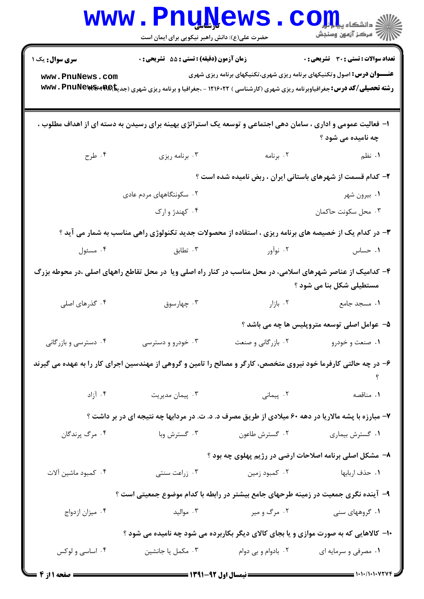|                                                                                                                                                                                                                                             | <b>WWW.FNUWEWS</b><br>حضرت علی(ع): دانش راهبر نیکویی برای ایمان است |                                                         | دانشگاه پی <mark>ا ب</mark> ا ت <mark>ور</mark><br>أزالته مركز آزمون وسنجش |  |  |  |  |
|---------------------------------------------------------------------------------------------------------------------------------------------------------------------------------------------------------------------------------------------|---------------------------------------------------------------------|---------------------------------------------------------|----------------------------------------------------------------------------|--|--|--|--|
| <b>سری سوال :</b> یک ۱                                                                                                                                                                                                                      | زمان آزمون (دقیقه) : تستی : 55 آتشریحی : 0                          |                                                         | <b>تعداد سوالات : تستی : 30 ٪ تشریحی : 0</b>                               |  |  |  |  |
| <b>عنـــوان درس:</b> اصول وتکنیکهای برنامه ریزی شهری،تکنیکهای برنامه ریزی شهری<br>www.PnuNews.com<br><b>رشته تحصیلی/کد درس:</b> جغرافیاوبرنامه ریزی شهری (کارشناسی ) ۱۲۱۶۰۲۲ - ،جغرافیا و برنامه ریزی شهری (جدیتا <b>AR WWW . PnuNews س</b> |                                                                     |                                                         |                                                                            |  |  |  |  |
| ا– فعالیت عمومی و اداری ، سامان دهی اجتماعی و توسعه یک استراتژی بهینه برای رسیدن به دسته ای از اهداف مطلوب ،<br>چه نامیده می شود ؟                                                                                                          |                                                                     |                                                         |                                                                            |  |  |  |  |
| ۰۴ طرح                                                                                                                                                                                                                                      | ۰۳ برنامه ریزی                                                      | ۰۲ برنامه و در استان با                                 | <b>۱.</b> نظم                                                              |  |  |  |  |
| ۲- کدام قسمت از شهرهای باستانی ایران ، ربض نامیده شده است ؟                                                                                                                                                                                 |                                                                     |                                                         |                                                                            |  |  |  |  |
|                                                                                                                                                                                                                                             | ۰۲ سکونتگاههای مردم عادی                                            |                                                         | ۰۱ بیرون شهر                                                               |  |  |  |  |
|                                                                                                                                                                                                                                             | ۰۴ کهندژ و ارک                                                      |                                                         | ۰۳ محل سكونت حاكمان                                                        |  |  |  |  |
| ۳- در کدام یک از خصیصه های برنامه ریزی ، استفاده از محصولات جدید تکنولوژی راهی مناسب به شمار می آید ؟                                                                                                                                       |                                                                     |                                                         |                                                                            |  |  |  |  |
| ۰۴ مسئول                                                                                                                                                                                                                                    | ۳ . تطابق $\cdot$                                                   | ۲. نوآور میسی است که توسی                               | ۰۱ حساس                                                                    |  |  |  |  |
| ۴– کدامیک از عناصر شهرهای اسلامی، در محل مناسب در کنار راه اصلی ویا ً در محل تقاطع راههای اصلی ،در محوطه بزرگ<br>مستطیلی شکل بنا می شود ؟                                                                                                   |                                                                     |                                                         |                                                                            |  |  |  |  |
| ۰۴ گذرهای اصلی                                                                                                                                                                                                                              | ۰۳ چهارسوق                                                          |                                                         | ۰ <b>۱</b> مسجد جامع مستهدفت استاند. بازار                                 |  |  |  |  |
|                                                                                                                                                                                                                                             |                                                                     |                                                         | ۵– عوامل اصلی توسعه متروپلیس ها چه می باشد ؟                               |  |  |  |  |
| ۰۴ دسترسی و بازرگانی                                                                                                                                                                                                                        | ۰۳ خودرو و دسترسی                                                   | ۰۲ بازرگانی و صنعت                                      | ۰۱ صنعت و خودرو                                                            |  |  |  |  |
| ۶– در چه حالتی کارفرما خود نیروی متخصص، کارگر و مصالح را تامین و گروهی از مهندسین اجرای کار را به عهده می گیرند                                                                                                                             |                                                                     |                                                         |                                                                            |  |  |  |  |
| ۰۴ آزاد                                                                                                                                                                                                                                     | ۰۳ پیمان مدیریت                                                     | ۲. پیمانی                                               | ۰۱ مناقصه                                                                  |  |  |  |  |
| ۷- مبارزه با پشه مالاریا در دهه ۶۰ میلادی از طریق مصرف د. د. ت. در مردابها چه نتیجه ای در بر داشت ؟                                                                                                                                         |                                                                     |                                                         |                                                                            |  |  |  |  |
| ۰۴ مرگ پرندگان                                                                                                                                                                                                                              | ۰۳ گسترش وبا                                                        | ۰۲ گسترش طاعون                                          | ۰۱ گسترش بیماری                                                            |  |  |  |  |
|                                                                                                                                                                                                                                             |                                                                     | ۸- مشکل اصلی برنامه اصلاحات ارضی در رژیم پهلوی چه بود ؟ |                                                                            |  |  |  |  |
| ۰۴ كمبود ماشين آلات                                                                                                                                                                                                                         | ۰۳ زراعت سنتی                                                       | ۰۲ کمبود زمین                                           | ۰۱ حذف اربابها                                                             |  |  |  |  |
| ۹– آینده نگری جمعیت در زمینه طرحهای جامع بیشتر در رابطه با کدام موضوع جمعیتی است ؟                                                                                                                                                          |                                                                     |                                                         |                                                                            |  |  |  |  |
| ۰۴ میزان ازدواج                                                                                                                                                                                                                             | ۰۳ مواليد                                                           | ۰۲ مرگ و میر                                            | ۰۱ گروههای سنی                                                             |  |  |  |  |
| ۱۰- کالاهایی که به صورت موازی و یا بجای کالای دیگر بکاربرده می شود چه نامیده می شود ؟                                                                                                                                                       |                                                                     |                                                         |                                                                            |  |  |  |  |
| ۰۴ اساسی و لوکس                                                                                                                                                                                                                             | ۰۳ مکمل یا جانشین                                                   | ۰۲ بادوام و بی دوام                                     | ۰۱ مصرفی و سرمایه ای                                                       |  |  |  |  |
|                                                                                                                                                                                                                                             |                                                                     |                                                         | $\sim$ $\sim$ $\sim$ $\sim$ $\sim$ $\sim$ $\sim$                           |  |  |  |  |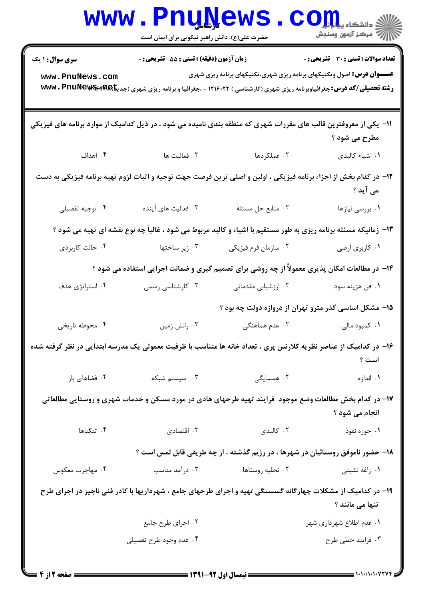| <b>تعداد سوالات : تستی : 30 ٪ تشریحی : 0</b> |                                                                                                                                                      | زمان آزمون (دقیقه) : تستی : 55 آتشریحی : 0 | <b>سری سوال : ۱ یک</b> |
|----------------------------------------------|------------------------------------------------------------------------------------------------------------------------------------------------------|--------------------------------------------|------------------------|
|                                              | <b>عنـــوان درس:</b> اصول وتکنیکهای برنامه ریزی شهری،تکنیکهای برنامه ریزی شهری                                                                       |                                            |                        |
|                                              | <b>رشته تحصیلی/کد درس:</b> جغرافیاوبرنامه ریزی شهری (کارشناسی ) ۱۲۱۶۰۲۲ - ،جغرافیا و برنامه ریزی شهری (جدی <del>نا)WW</del> V <b>، PnuNews س</b> یری |                                            | www.PnuNews.com        |
|                                              |                                                                                                                                                      |                                            |                        |
|                                              | 11- یکی از معروفترین قالب های مقررات شهری که منطقه بندی نامیده می شود ، در ذیل کدامیک از موارد برنامه های فیزیکی                                     |                                            |                        |
| مطرح می شود ؟                                |                                                                                                                                                      |                                            |                        |
| ٠١. اشياء كالبدى                             | ۰۲ عملکردها                                                                                                                                          | ۰۳ فعالیت ها                               | ۰۴ اهداف               |
|                                              | ۱۲– در کدام بخش از اجزاء برنامه فیزیکی ، اولین و اصلی ترین فرصت جهت توجیه و اثبات لزوم تهیه برنامه فیزیکی به دست                                     |                                            |                        |
| می آید ؟                                     |                                                                                                                                                      |                                            |                        |
| ٠١ بررسي نيازها                              | ٠٢ منابع حل مسئله                                                                                                                                    | ۰۳ فعالیت های آینده                        | ۰۴ توجيه تفصيلي        |
|                                              | ۱۳- زمانیکه مسئله برنامه ریزی به طور مستقیم با اشیاء و کالبد مربوط می شود ، غالباً چه نوع نقشه ای تهیه می شود ؟                                      |                                            |                        |
| ٠١ كاربرى ارضى                               | ۰۲ سازمان فرم فیزیکی                                                                                                                                 | ۰۳ زیر ساختها                              | ۰۴ حالت کاربردی        |
|                                              | ۱۴- در مطالعات امکان پذیری معمولاً از چه روشی برای تصمیم گیری و ضمانت اجرایی استفاده می شود ؟                                                        |                                            |                        |
| ٠١ فن هزينه سود                              | ۰۲ ارزشیابی مقدماتی                                                                                                                                  | ۰۳ کارشناسی رسمی                           | ۰۴ استراتژی هدف        |
|                                              | ۱۵– مشکل اساسی گذر مترو تهران از دروازه دولت چه بود ؟                                                                                                |                                            |                        |
| ۰۱ کمبود مالی                                | ۰۲ عدم هماهنگ <i>ی</i>                                                                                                                               | ۰۳ رانش زمین                               | ۰۴ محوطه تاریخی        |
|                                              | ۱۶– در کدامیک از عناصر نظریه کلارنس پری ، تعداد خانه ها متناسب با ظرفیت معمولی یک مدرسه ابتدایی در نظر گرفته شده                                     |                                            |                        |
| است ؟                                        |                                                                                                                                                      |                                            |                        |
| ۰۱ اندازه                                    | ۲. همسایگی                                                                                                                                           | ۰۳ سیستم شبکه                              | ۰۴ فضاهای باز          |
|                                              | ۱۷– در کدام بخش مطالعات وضع موجود ً فرایند تهیه طرحهای هادی در مورد مسکن و خدمات شهری و روستایی مطالعاتی                                             |                                            |                        |
| انجام می شود ؟                               |                                                                                                                                                      |                                            |                        |
| ١. حوزه نفوذ                                 | ۰۲ کالېدی                                                                                                                                            | ا اقتصادی $\cdot$ ۳                        | ۰۴ تنگناها             |
|                                              | ۱۸- حضور ناموفق روستائیان در شهرها ، در رژیم گذشته ، از چه طریقی قابل لمس است ؟                                                                      |                                            |                        |
| ۰۱ زاغه نشینی                                | ۰۲ تخلیه روستاها                                                                                                                                     | ۰۳ درآمد مناسب                             | ۰۴ مهاجرت معکوس        |
|                                              | ۱۹- در کدامیک از مشکلات چهارگانه گسستگی تهیه و اجرای طرحهای جامع ، شهرداریها با کادر فنی ناچیز در اجرای طرح                                          |                                            |                        |
| تنها می مانند ؟                              |                                                                                                                                                      |                                            |                        |
| ۰۱ عدم اطلاع شهرداری شهر                     |                                                                                                                                                      | ۰۲ اجرای طرح جامع                          |                        |
| ۰۳ فرايند خطي طرح                            |                                                                                                                                                      | ۰۴ عدم وجود طرح تفصيلي                     |                        |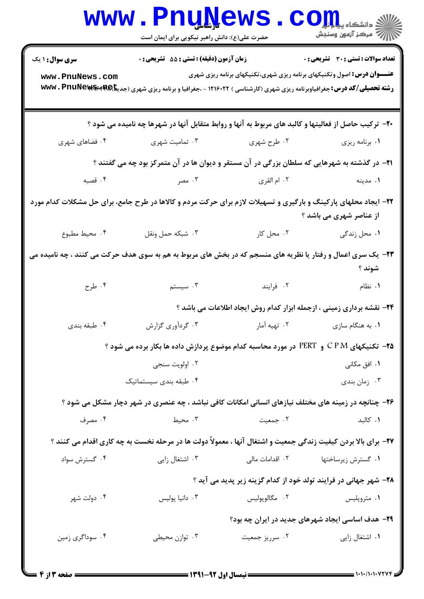|                                                                                                                                            | <b>WWW.FUUWEWS</b><br>حضرت علی(ع): دانش راهبر نیکویی برای ایمان است                                                                     |                              | الان دانشکاه پی <mark>ا با بار</mark><br>۱۳۱۴ مرکز آزمهن وسنجش                 |  |  |  |
|--------------------------------------------------------------------------------------------------------------------------------------------|-----------------------------------------------------------------------------------------------------------------------------------------|------------------------------|--------------------------------------------------------------------------------|--|--|--|
| <b>سری سوال : ۱ یک</b>                                                                                                                     | زمان آزمون (دقیقه) : تستی : 55 آتشریحی : 0                                                                                              |                              | <b>تعداد سوالات : تستی : 30 - تشریحی : 0</b>                                   |  |  |  |
| www.PnuNews.com                                                                                                                            | <b>رشته تحصیلی/کد درس:</b> جغرافیاوبرنامه ریزی شهری (کارشناسی ) ۱۲۱۶۰۲۲ - ،جغرافیا و برنامه ریزی شهری (جدیتا <b>AR) www . PnuNews س</b> |                              | <b>عنـــوان درس:</b> اصول وتکنیکهای برنامه ریزی شهری،تکنیکهای برنامه ریزی شهری |  |  |  |
| +۲- ترکیب حاصل از فعالیتها و کالبد های مربوط به آنها و روابط متقابل آنها در شهرها چه نامیده می شود ؟                                       |                                                                                                                                         |                              |                                                                                |  |  |  |
| ۰۴ فضاهای شهری                                                                                                                             | ۰۲ طرح شهری مسین شهری ۲۰۰                                                                                                               |                              | ٠١ برنامه ريزي                                                                 |  |  |  |
| <b>۲۱</b> - در گذشته به شهرهایی که سلطان بزرگی در آن مستقر و دیوان ها در آن متمرکز بود چه می گفتند ؟                                       |                                                                                                                                         |                              |                                                                                |  |  |  |
| ۰۴ قصبه                                                                                                                                    |                                                                                                                                         |                              |                                                                                |  |  |  |
| ۲۲- ایجاد محلهای پارکینگ و بارگیری و تسهیلات لازم برای حرکت مردم و کالاها در طرح جامع، برای حل مشکلات کدام مورد<br>از عناصر شهری می باشد ؟ |                                                                                                                                         |                              |                                                                                |  |  |  |
| ۰۴ محیط مطبوع                                                                                                                              | ۰۳ شبکه حمل ونقل                                                                                                                        | ۰۱ محل زندگی مسلم ۲۰ محل کار |                                                                                |  |  |  |
| ۲۳- یک سری اعمال و رفتار یا نظریه های منسجم که در بخش های مربوط به هم به سوی هدف حرکت می کنند ، چه نامیده می<br>شوند ؟                     |                                                                                                                                         |                              |                                                                                |  |  |  |
| ۰۴ طرح                                                                                                                                     |                                                                                                                                         | ۲. فرایند میستم اسیستم       | ۰۱ نظام                                                                        |  |  |  |
| 24- نقشه برداری زمینی ، ازجمله ابزار کدام روش ایجاد اطلاعات می باشد ؟                                                                      |                                                                                                                                         |                              |                                                                                |  |  |  |
| ۰۴ طبقه بندي                                                                                                                               | ۰۳ گردآوری گزارش                                                                                                                        | ۰۲ تهیه آمار                 | ۰۱ به هنگام سازی                                                               |  |  |  |
| <b>۲۵</b> – تکنیکهای C P M و  PERT در مورد محاسبه کدام موضوع پردازش داده ها بکار برده می شود ؟                                             |                                                                                                                                         |                              |                                                                                |  |  |  |
|                                                                                                                                            | ۰۲ اولویت سنجی                                                                                                                          |                              | ۰۱ افق مکانی                                                                   |  |  |  |
|                                                                                                                                            | ۰۴ طبقه بندی سیستماتیک                                                                                                                  |                              | ۰۳ زمان بندي                                                                   |  |  |  |
|                                                                                                                                            | ۲۶- چنانچه در زمینه های مختلف نیازهای انسانی امکانات کافی نباشد ، چه عنصری در شهر دچار مشکل می شود ؟                                    |                              |                                                                                |  |  |  |
| ۰۴ مصرف                                                                                                                                    | ۰۳ محیط                                                                                                                                 | ۰۲ جمعیت                     | ٠١. كالبد                                                                      |  |  |  |
| ۲۷- برای بالا بردن کیفیت زندگی جمعیت و اشتغال آنها ، معمولاً دولت ها در مرحله نخست به چه کاری اقدام می کنند ؟                              |                                                                                                                                         |                              |                                                                                |  |  |  |
| ۰۴ گسترش سواد                                                                                                                              | ۰۳ اشتغال زايي                                                                                                                          |                              | ۰۱ گسترش زیرساختها مسلم ۲۰ اقدامات مالی                                        |  |  |  |
| ۲۸– شهر جهانی در فرایند تولد خود از کدام گزینه زیر پدید می آید ؟                                                                           |                                                                                                                                         |                              |                                                                                |  |  |  |
| ۰۴ دولت شهر                                                                                                                                | ۰۳ دانيا پوليس                                                                                                                          | ۰۲ مگالوپوليس                | ۰۱ متروپلیس                                                                    |  |  |  |
|                                                                                                                                            |                                                                                                                                         |                              | <b>۲۹</b> - هدف اساسی ایجاد شهرهای جدید در ایران چه بود؟                       |  |  |  |
| ۰۴ سوداگری زمین                                                                                                                            | ۰۳ توازن محیطی                                                                                                                          | ۰۲ سرریز جمعیت               | ۰۱ اشتغال زايي                                                                 |  |  |  |